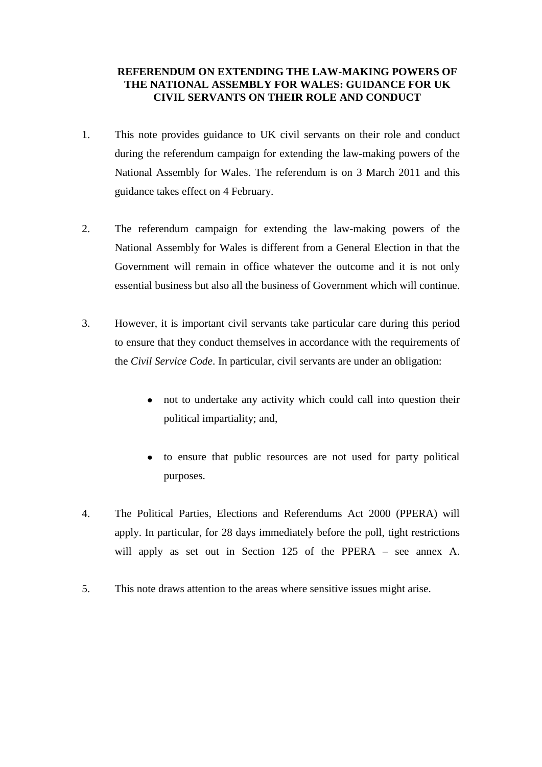# **REFERENDUM ON EXTENDING THE LAW-MAKING POWERS OF THE NATIONAL ASSEMBLY FOR WALES: GUIDANCE FOR UK CIVIL SERVANTS ON THEIR ROLE AND CONDUCT**

- 1. This note provides guidance to UK civil servants on their role and conduct during the referendum campaign for extending the law-making powers of the National Assembly for Wales. The referendum is on 3 March 2011 and this guidance takes effect on 4 February.
- 2. The referendum campaign for extending the law-making powers of the National Assembly for Wales is different from a General Election in that the Government will remain in office whatever the outcome and it is not only essential business but also all the business of Government which will continue.
- 3. However, it is important civil servants take particular care during this period to ensure that they conduct themselves in accordance with the requirements of the *Civil Service Code*. In particular, civil servants are under an obligation:
	- not to undertake any activity which could call into question their  $\bullet$ political impartiality; and,
	- to ensure that public resources are not used for party political  $\bullet$ purposes.
- 4. The Political Parties, Elections and Referendums Act 2000 (PPERA) will apply. In particular, for 28 days immediately before the poll, tight restrictions will apply as set out in Section 125 of the PPERA – see annex A.
- 5. This note draws attention to the areas where sensitive issues might arise.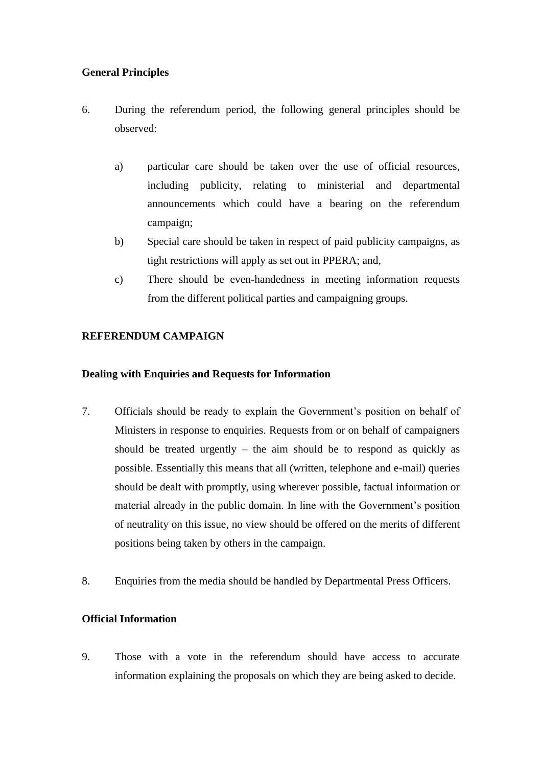# **General Principles**

- 6. During the referendum period, the following general principles should be observed:
	- a) particular care should be taken over the use of official resources, including publicity, relating to ministerial and departmental announcements which could have a bearing on the referendum campaign;
	- b) Special care should be taken in respect of paid publicity campaigns, as tight restrictions will apply as set out in PPERA; and,
	- c) There should be even-handedness in meeting information requests from the different political parties and campaigning groups.

# **REFERENDUM CAMPAIGN**

# **Dealing with Enquiries and Requests for Information**

- 7. Officials should be ready to explain the Government's position on behalf of Ministers in response to enquiries. Requests from or on behalf of campaigners should be treated urgently – the aim should be to respond as quickly as possible. Essentially this means that all (written, telephone and e-mail) queries should be dealt with promptly, using wherever possible, factual information or material already in the public domain. In line with the Government's position of neutrality on this issue, no view should be offered on the merits of different positions being taken by others in the campaign.
- 8. Enquiries from the media should be handled by Departmental Press Officers.

# **Official Information**

9. Those with a vote in the referendum should have access to accurate information explaining the proposals on which they are being asked to decide.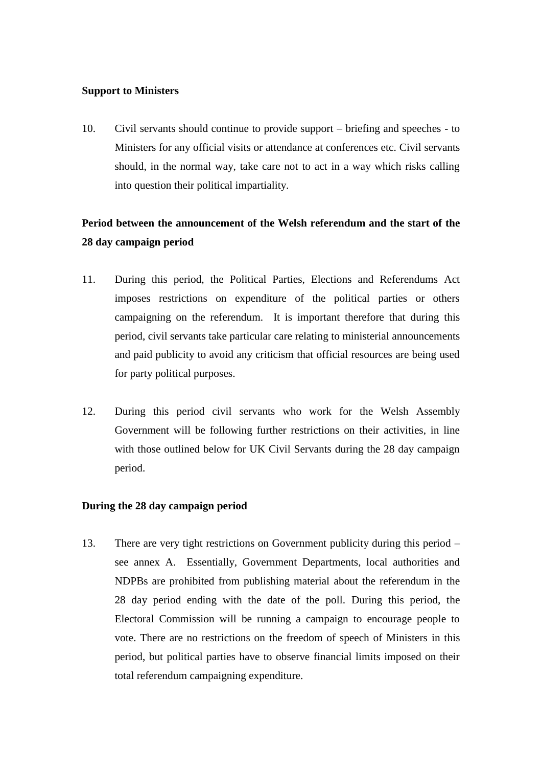### **Support to Ministers**

10. Civil servants should continue to provide support – briefing and speeches - to Ministers for any official visits or attendance at conferences etc. Civil servants should, in the normal way, take care not to act in a way which risks calling into question their political impartiality.

# **Period between the announcement of the Welsh referendum and the start of the 28 day campaign period**

- 11. During this period, the Political Parties, Elections and Referendums Act imposes restrictions on expenditure of the political parties or others campaigning on the referendum. It is important therefore that during this period, civil servants take particular care relating to ministerial announcements and paid publicity to avoid any criticism that official resources are being used for party political purposes.
- 12. During this period civil servants who work for the Welsh Assembly Government will be following further restrictions on their activities, in line with those outlined below for UK Civil Servants during the 28 day campaign period.

### **During the 28 day campaign period**

13. There are very tight restrictions on Government publicity during this period – see annex A. Essentially, Government Departments, local authorities and NDPBs are prohibited from publishing material about the referendum in the 28 day period ending with the date of the poll. During this period, the Electoral Commission will be running a campaign to encourage people to vote. There are no restrictions on the freedom of speech of Ministers in this period, but political parties have to observe financial limits imposed on their total referendum campaigning expenditure.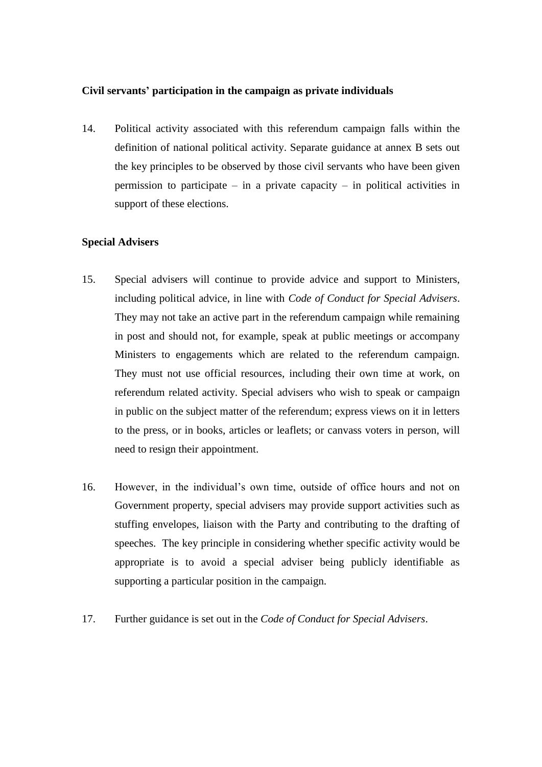### **Civil servants' participation in the campaign as private individuals**

14. Political activity associated with this referendum campaign falls within the definition of national political activity. Separate guidance at annex B sets out the key principles to be observed by those civil servants who have been given permission to participate – in a private capacity – in political activities in support of these elections.

### **Special Advisers**

- 15. Special advisers will continue to provide advice and support to Ministers, including political advice, in line with *Code of Conduct for Special Advisers*. They may not take an active part in the referendum campaign while remaining in post and should not, for example, speak at public meetings or accompany Ministers to engagements which are related to the referendum campaign. They must not use official resources, including their own time at work, on referendum related activity. Special advisers who wish to speak or campaign in public on the subject matter of the referendum; express views on it in letters to the press, or in books, articles or leaflets; or canvass voters in person, will need to resign their appointment.
- 16. However, in the individual's own time, outside of office hours and not on Government property, special advisers may provide support activities such as stuffing envelopes, liaison with the Party and contributing to the drafting of speeches. The key principle in considering whether specific activity would be appropriate is to avoid a special adviser being publicly identifiable as supporting a particular position in the campaign.
- 17. Further guidance is set out in the *Code of Conduct for Special Advisers*.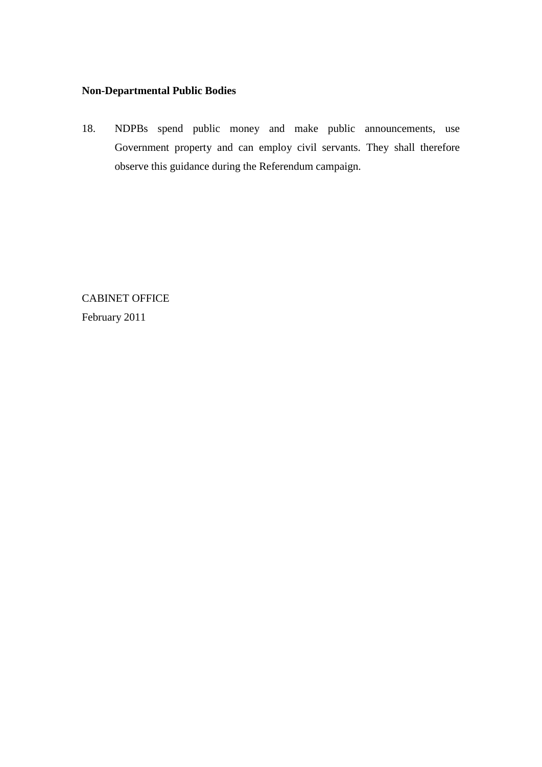# **Non-Departmental Public Bodies**

18. NDPBs spend public money and make public announcements, use Government property and can employ civil servants. They shall therefore observe this guidance during the Referendum campaign.

CABINET OFFICE February 2011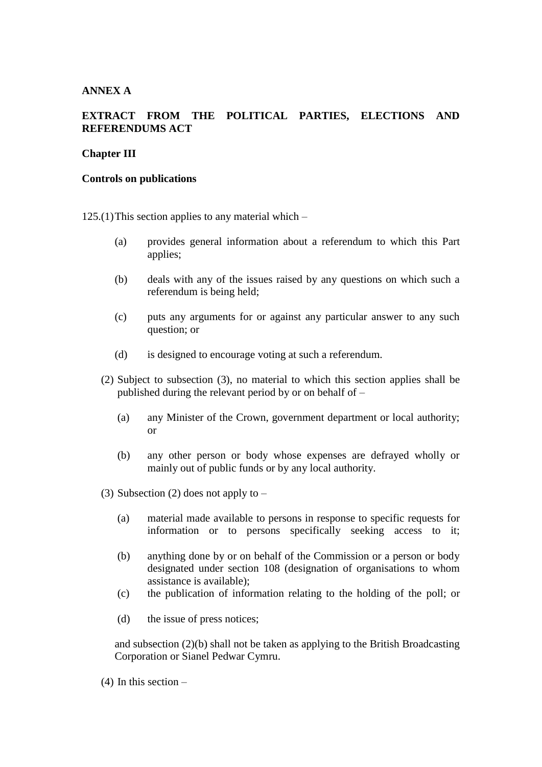## **ANNEX A**

# **EXTRACT FROM THE POLITICAL PARTIES, ELECTIONS AND REFERENDUMS ACT**

### **Chapter III**

#### **Controls on publications**

125.(1) This section applies to any material which  $-$ 

- (a) provides general information about a referendum to which this Part applies;
- (b) deals with any of the issues raised by any questions on which such a referendum is being held;
- (c) puts any arguments for or against any particular answer to any such question; or
- (d) is designed to encourage voting at such a referendum.
- (2) Subject to subsection (3), no material to which this section applies shall be published during the relevant period by or on behalf of –
	- (a) any Minister of the Crown, government department or local authority; or
	- (b) any other person or body whose expenses are defrayed wholly or mainly out of public funds or by any local authority.
- (3) Subsection (2) does not apply to  $-$ 
	- (a) material made available to persons in response to specific requests for information or to persons specifically seeking access to it;
	- (b) anything done by or on behalf of the Commission or a person or body designated under section 108 (designation of organisations to whom assistance is available);
	- (c) the publication of information relating to the holding of the poll; or
	- (d) the issue of press notices;

and subsection  $(2)(b)$  shall not be taken as applying to the British Broadcasting Corporation or Sianel Pedwar Cymru.

(4) In this section –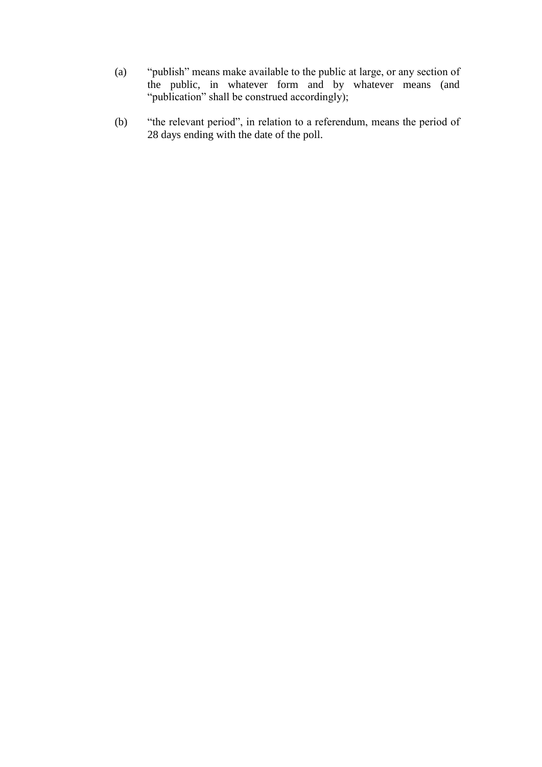- (a) "publish" means make available to the public at large, or any section of the public, in whatever form and by whatever means (and "publication" shall be construed accordingly);
- (b) "the relevant period", in relation to a referendum, means the period of 28 days ending with the date of the poll.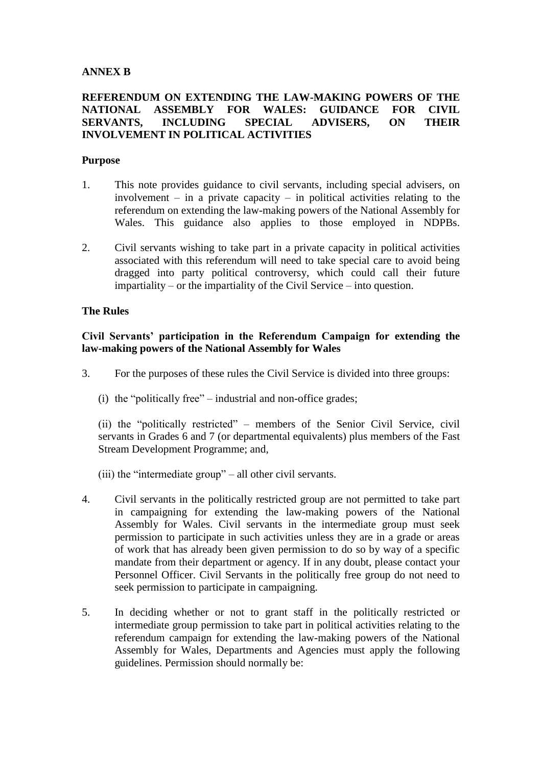# **ANNEX B**

# **REFERENDUM ON EXTENDING THE LAW-MAKING POWERS OF THE NATIONAL ASSEMBLY FOR WALES: GUIDANCE FOR CIVIL SERVANTS, INCLUDING SPECIAL ADVISERS, ON THEIR INVOLVEMENT IN POLITICAL ACTIVITIES**

### **Purpose**

- 1. This note provides guidance to civil servants, including special advisers, on involvement – in a private capacity – in political activities relating to the referendum on extending the law-making powers of the National Assembly for Wales. This guidance also applies to those employed in NDPBs.
- 2. Civil servants wishing to take part in a private capacity in political activities associated with this referendum will need to take special care to avoid being dragged into party political controversy, which could call their future impartiality – or the impartiality of the Civil Service – into question.

### **The Rules**

## **Civil Servants' participation in the Referendum Campaign for extending the law-making powers of the National Assembly for Wales**

- 3. For the purposes of these rules the Civil Service is divided into three groups:
	- (i) the "politically free" industrial and non-office grades;

(ii) the "politically restricted" – members of the Senior Civil Service, civil servants in Grades 6 and 7 (or departmental equivalents) plus members of the Fast Stream Development Programme; and,

- (iii) the "intermediate group" all other civil servants.
- 4. Civil servants in the politically restricted group are not permitted to take part in campaigning for extending the law-making powers of the National Assembly for Wales. Civil servants in the intermediate group must seek permission to participate in such activities unless they are in a grade or areas of work that has already been given permission to do so by way of a specific mandate from their department or agency. If in any doubt, please contact your Personnel Officer. Civil Servants in the politically free group do not need to seek permission to participate in campaigning.
- 5. In deciding whether or not to grant staff in the politically restricted or intermediate group permission to take part in political activities relating to the referendum campaign for extending the law-making powers of the National Assembly for Wales, Departments and Agencies must apply the following guidelines. Permission should normally be: